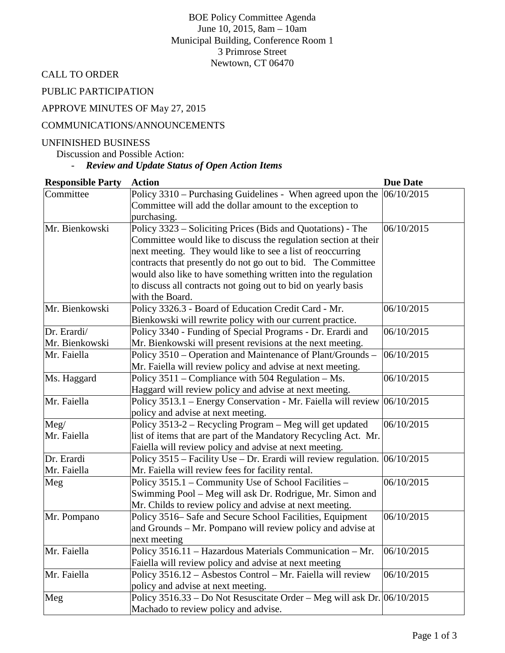BOE Policy Committee Agenda June 10, 2015, 8am – 10am Municipal Building, Conference Room 1 3 Primrose Street Newtown, CT 06470

CALL TO ORDER

PUBLIC PARTICIPATION

# APPROVE MINUTES OF May 27, 2015

#### COMMUNICATIONS/ANNOUNCEMENTS

#### UNFINISHED BUSINESS

Discussion and Possible Action:

# - *Review and Update Status of Open Action Items*

| <b>Responsible Party</b> | <b>Action</b>                                                                  | <b>Due Date</b> |
|--------------------------|--------------------------------------------------------------------------------|-----------------|
| Committee                | Policy 3310 – Purchasing Guidelines - When agreed upon the $ 06/10/2015$       |                 |
|                          | Committee will add the dollar amount to the exception to                       |                 |
|                          | purchasing.                                                                    |                 |
| Mr. Bienkowski           | Policy 3323 – Soliciting Prices (Bids and Quotations) - The                    | 06/10/2015      |
|                          | Committee would like to discuss the regulation section at their                |                 |
|                          | next meeting. They would like to see a list of reoccurring                     |                 |
|                          | contracts that presently do not go out to bid. The Committee                   |                 |
|                          | would also like to have something written into the regulation                  |                 |
|                          | to discuss all contracts not going out to bid on yearly basis                  |                 |
|                          | with the Board.                                                                |                 |
| Mr. Bienkowski           | Policy 3326.3 - Board of Education Credit Card - Mr.                           | 06/10/2015      |
|                          | Bienkowski will rewrite policy with our current practice.                      |                 |
| Dr. Erardi/              | Policy 3340 - Funding of Special Programs - Dr. Erardi and                     | 06/10/2015      |
| Mr. Bienkowski           | Mr. Bienkowski will present revisions at the next meeting.                     |                 |
| Mr. Faiella              | Policy 3510 – Operation and Maintenance of Plant/Grounds –                     | 06/10/2015      |
|                          | Mr. Faiella will review policy and advise at next meeting.                     |                 |
| Ms. Haggard              | Policy 3511 – Compliance with 504 Regulation – Ms.                             | 06/10/2015      |
|                          | Haggard will review policy and advise at next meeting.                         |                 |
| Mr. Faiella              | Policy 3513.1 – Energy Conservation - Mr. Faiella will review $ 06/10/2015$    |                 |
|                          | policy and advise at next meeting.                                             |                 |
| Meg/                     | Policy 3513-2 - Recycling Program - Meg will get updated                       | 06/10/2015      |
| Mr. Faiella              | list of items that are part of the Mandatory Recycling Act. Mr.                |                 |
|                          | Faiella will review policy and advise at next meeting.                         |                 |
| Dr. Erardi               | Policy 3515 – Facility Use – Dr. Erardi will review regulation. $ 06/10/2015 $ |                 |
| Mr. Faiella              | Mr. Faiella will review fees for facility rental.                              |                 |
| Meg                      | Policy 3515.1 – Community Use of School Facilities –                           | 06/10/2015      |
|                          | Swimming Pool - Meg will ask Dr. Rodrigue, Mr. Simon and                       |                 |
|                          | Mr. Childs to review policy and advise at next meeting.                        |                 |
| Mr. Pompano              | Policy 3516– Safe and Secure School Facilities, Equipment                      | 06/10/2015      |
|                          | and Grounds – Mr. Pompano will review policy and advise at                     |                 |
|                          | next meeting                                                                   |                 |
| Mr. Faiella              | Policy 3516.11 - Hazardous Materials Communication - Mr.                       | 06/10/2015      |
|                          | Faiella will review policy and advise at next meeting                          |                 |
| Mr. Faiella              | Policy 3516.12 - Asbestos Control - Mr. Faiella will review                    | 06/10/2015      |
|                          | policy and advise at next meeting.                                             |                 |
| Meg                      | Policy $3516.33 - Do$ Not Resuscitate Order – Meg will ask Dr. $ 06/10/2015 $  |                 |
|                          | Machado to review policy and advise.                                           |                 |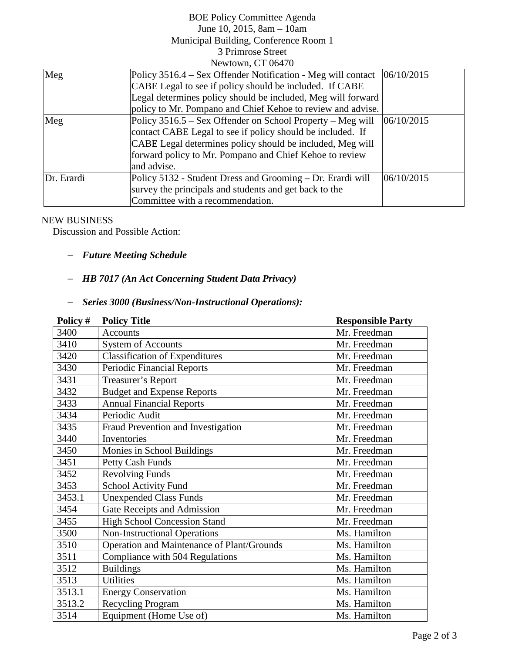### BOE Policy Committee Agenda June 10, 2015, 8am – 10am Municipal Building, Conference Room 1 3 Primrose Street Newtown, CT 06470

| Meg        | Policy 3516.4 – Sex Offender Notification - Meg will contact | 06/10/2015 |  |  |
|------------|--------------------------------------------------------------|------------|--|--|
|            | CABE Legal to see if policy should be included. If CABE      |            |  |  |
|            | Legal determines policy should be included, Meg will forward |            |  |  |
|            | policy to Mr. Pompano and Chief Kehoe to review and advise.  |            |  |  |
| Meg        | Policy 3516.5 – Sex Offender on School Property – Meg will   | 06/10/2015 |  |  |
|            | contact CABE Legal to see if policy should be included. If   |            |  |  |
|            | CABE Legal determines policy should be included, Meg will    |            |  |  |
|            | forward policy to Mr. Pompano and Chief Kehoe to review      |            |  |  |
|            | and advise.                                                  |            |  |  |
| Dr. Erardi | Policy 5132 - Student Dress and Grooming – Dr. Erardi will   | 06/10/2015 |  |  |
|            | survey the principals and students and get back to the       |            |  |  |
|            | Committee with a recommendation.                             |            |  |  |

#### NEW BUSINESS

Discussion and Possible Action:

### − *Future Meeting Schedule*

# − *HB 7017 (An Act Concerning Student Data Privacy)*

# − *Series 3000 (Business/Non-Instructional Operations):*

| Policy # | <b>Policy Title</b>                        | <b>Responsible Party</b> |
|----------|--------------------------------------------|--------------------------|
| 3400     | <b>Accounts</b>                            | Mr. Freedman             |
| 3410     | <b>System of Accounts</b>                  | Mr. Freedman             |
| 3420     | <b>Classification of Expenditures</b>      | Mr. Freedman             |
| 3430     | <b>Periodic Financial Reports</b>          | Mr. Freedman             |
| 3431     | <b>Treasurer's Report</b>                  | Mr. Freedman             |
| 3432     | <b>Budget and Expense Reports</b>          | Mr. Freedman             |
| 3433     | <b>Annual Financial Reports</b>            | Mr. Freedman             |
| 3434     | Periodic Audit                             | Mr. Freedman             |
| 3435     | Fraud Prevention and Investigation         | Mr. Freedman             |
| 3440     | Inventories                                | Mr. Freedman             |
| 3450     | Monies in School Buildings                 | Mr. Freedman             |
| 3451     | Petty Cash Funds                           | Mr. Freedman             |
| 3452     | <b>Revolving Funds</b>                     | Mr. Freedman             |
| 3453     | School Activity Fund                       | Mr. Freedman             |
| 3453.1   | <b>Unexpended Class Funds</b>              | Mr. Freedman             |
| 3454     | Gate Receipts and Admission                | Mr. Freedman             |
| 3455     | <b>High School Concession Stand</b>        | Mr. Freedman             |
| 3500     | <b>Non-Instructional Operations</b>        | Ms. Hamilton             |
| 3510     | Operation and Maintenance of Plant/Grounds | Ms. Hamilton             |
| 3511     | Compliance with 504 Regulations            | Ms. Hamilton             |
| 3512     | <b>Buildings</b>                           | Ms. Hamilton             |
| 3513     | <b>Utilities</b>                           | Ms. Hamilton             |
| 3513.1   | <b>Energy Conservation</b>                 | Ms. Hamilton             |
| 3513.2   | <b>Recycling Program</b>                   | Ms. Hamilton             |
| 3514     | Equipment (Home Use of)                    | Ms. Hamilton             |